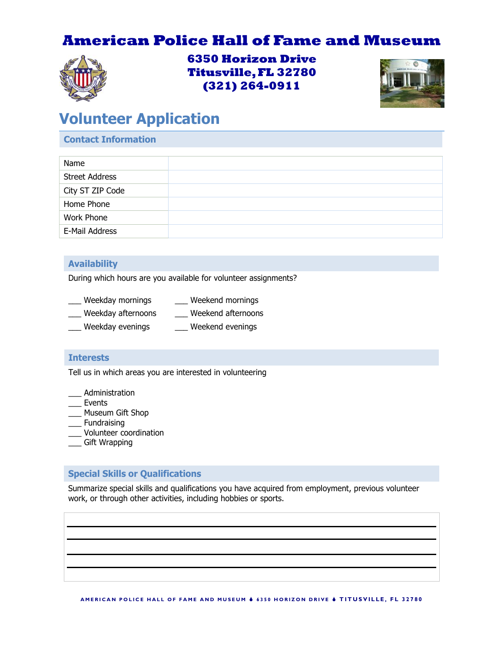## **American Police Hall of Fame and Museum**



**6350 Horizon Drive Titusville, FL 32780 (321) 264-0911**



# **Volunteer Application**

#### **Contact Information**

| Name                  |  |
|-----------------------|--|
| <b>Street Address</b> |  |
| City ST ZIP Code      |  |
| Home Phone            |  |
| Work Phone            |  |
| E-Mail Address        |  |
|                       |  |

#### **Availability**

During which hours are you available for volunteer assignments?

| Weekday mornings | Weekend mornings |
|------------------|------------------|
|                  |                  |

- \_\_\_ Weekday afternoons \_\_\_ Weekend afternoons
- Weekday evenings extend evenings

#### **Interests**

Tell us in which areas you are interested in volunteering

- \_\_\_ Administration
- **Events**
- \_\_\_ Museum Gift Shop
- **Fundraising**
- \_\_\_ Volunteer coordination
- \_\_\_ Gift Wrapping

#### **Special Skills or Qualifications**

Summarize special skills and qualifications you have acquired from employment, previous volunteer work, or through other activities, including hobbies or sports.

A MERICAN POLICE HALL OF FAME AND MUSEUM  $\phi$  6350 HORIZON DRIVE  $\phi$  TITUSVILLE, FL 32780